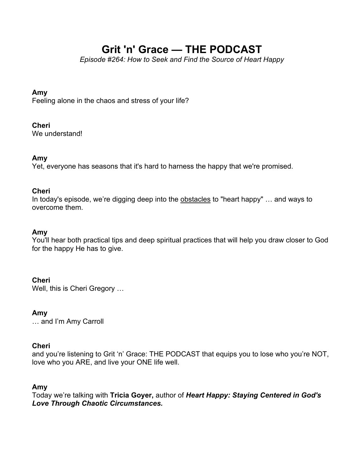# **Grit 'n' Grace — THE PODCAST**

*Episode #264: How to Seek and Find the Source of Heart Happy*

## **Amy**

Feeling alone in the chaos and stress of your life?

## **Cheri**

We understand!

## **Amy**

Yet, everyone has seasons that it's hard to harness the happy that we're promised.

#### **Cheri**

In today's episode, we're digging deep into the obstacles to "heart happy" … and ways to overcome them.

## **Amy**

You'll hear both practical tips and deep spiritual practices that will help you draw closer to God for the happy He has to give.

## **Cheri**

Well, this is Cheri Gregory …

## **Amy**

… and I'm Amy Carroll

## **Cheri**

and you're listening to Grit 'n' Grace: THE PODCAST that equips you to lose who you're NOT, love who you ARE, and live your ONE life well.

## **Amy**

Today we're talking with **Tricia Goyer,** author of *Heart Happy: Staying Centered in God's Love Through Chaotic Circumstances.*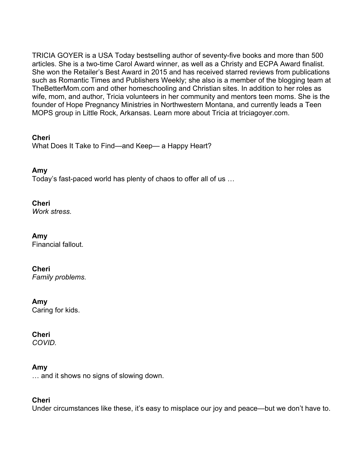TRICIA GOYER is a USA Today bestselling author of seventy-five books and more than 500 articles. She is a two-time Carol Award winner, as well as a Christy and ECPA Award finalist. She won the Retailer's Best Award in 2015 and has received starred reviews from publications such as Romantic Times and Publishers Weekly; she also is a member of the blogging team at TheBetterMom.com and other homeschooling and Christian sites. In addition to her roles as wife, mom, and author, Tricia volunteers in her community and mentors teen moms. She is the founder of Hope Pregnancy Ministries in Northwestern Montana, and currently leads a Teen MOPS group in Little Rock, Arkansas. Learn more about Tricia at triciagoyer.com.

**Cheri** What Does It Take to Find—and Keep— a Happy Heart?

**Amy** Today's fast-paced world has plenty of chaos to offer all of us …

## **Cheri**

*Work stress.*

## **Amy**

Financial fallout.

## **Cheri**

*Family problems.*

## **Amy**

Caring for kids.

## **Cheri**

*COVID.*

## **Amy**

… and it shows no signs of slowing down.

## **Cheri**

Under circumstances like these, it's easy to misplace our joy and peace—but we don't have to.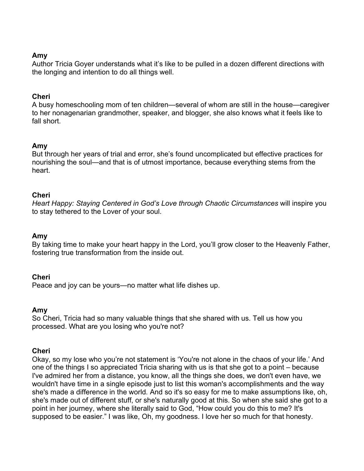### **Amy**

Author Tricia Goyer understands what it's like to be pulled in a dozen different directions with the longing and intention to do all things well.

#### **Cheri**

A busy homeschooling mom of ten children—several of whom are still in the house—caregiver to her nonagenarian grandmother, speaker, and blogger, she also knows what it feels like to fall short.

#### **Amy**

But through her years of trial and error, she's found uncomplicated but effective practices for nourishing the soul—and that is of utmost importance, because everything stems from the heart.

#### **Cheri**

*Heart Happy: Staying Centered in God's Love through Chaotic Circumstances* will inspire you to stay tethered to the Lover of your soul.

#### **Amy**

By taking time to make your heart happy in the Lord, you'll grow closer to the Heavenly Father, fostering true transformation from the inside out.

#### **Cheri**

Peace and joy can be yours—no matter what life dishes up.

#### **Amy**

So Cheri, Tricia had so many valuable things that she shared with us. Tell us how you processed. What are you losing who you're not?

#### **Cheri**

Okay, so my lose who you're not statement is 'You're not alone in the chaos of your life.' And one of the things I so appreciated Tricia sharing with us is that she got to a point – because I've admired her from a distance, you know, all the things she does, we don't even have, we wouldn't have time in a single episode just to list this woman's accomplishments and the way she's made a difference in the world. And so it's so easy for me to make assumptions like, oh, she's made out of different stuff, or she's naturally good at this. So when she said she got to a point in her journey, where she literally said to God, "How could you do this to me? It's supposed to be easier." I was like, Oh, my goodness. I love her so much for that honesty.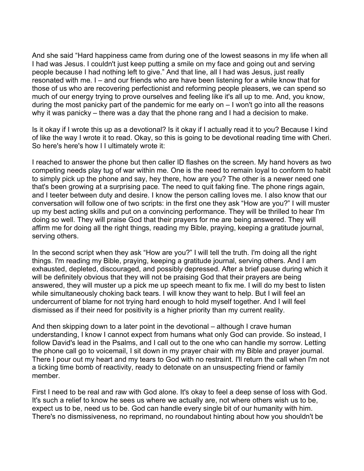And she said "Hard happiness came from during one of the lowest seasons in my life when all I had was Jesus. I couldn't just keep putting a smile on my face and going out and serving people because I had nothing left to give." And that line, all I had was Jesus, just really resonated with me. I – and our friends who are have been listening for a while know that for those of us who are recovering perfectionist and reforming people pleasers, we can spend so much of our energy trying to prove ourselves and feeling like it's all up to me. And, you know, during the most panicky part of the pandemic for me early on – I won't go into all the reasons why it was panicky – there was a day that the phone rang and I had a decision to make.

Is it okay if I wrote this up as a devotional? Is it okay if I actually read it to you? Because I kind of like the way I wrote it to read. Okay, so this is going to be devotional reading time with Cheri. So here's here's how I I ultimately wrote it:

I reached to answer the phone but then caller ID flashes on the screen. My hand hovers as two competing needs play tug of war within me. One is the need to remain loyal to conform to habit to simply pick up the phone and say, hey there, how are you? The other is a newer need one that's been growing at a surprising pace. The need to quit faking fine. The phone rings again, and I teeter between duty and desire. I know the person calling loves me. I also know that our conversation will follow one of two scripts: in the first one they ask "How are you?" I will muster up my best acting skills and put on a convincing performance. They will be thrilled to hear I'm doing so well. They will praise God that their prayers for me are being answered. They will affirm me for doing all the right things, reading my Bible, praying, keeping a gratitude journal, serving others.

In the second script when they ask "How are you?" I will tell the truth. I'm doing all the right things. I'm reading my Bible, praying, keeping a gratitude journal, serving others. And I am exhausted, depleted, discouraged, and possibly depressed. After a brief pause during which it will be definitely obvious that they will not be praising God that their prayers are being answered, they will muster up a pick me up speech meant to fix me. I will do my best to listen while simultaneously choking back tears. I will know they want to help. But I will feel an undercurrent of blame for not trying hard enough to hold myself together. And I will feel dismissed as if their need for positivity is a higher priority than my current reality.

And then skipping down to a later point in the devotional – although I crave human understanding, I know I cannot expect from humans what only God can provide. So instead, I follow David's lead in the Psalms, and I call out to the one who can handle my sorrow. Letting the phone call go to voicemail, I sit down in my prayer chair with my Bible and prayer journal. There I pour out my heart and my tears to God with no restraint. I'll return the call when I'm not a ticking time bomb of reactivity, ready to detonate on an unsuspecting friend or family member.

First I need to be real and raw with God alone. It's okay to feel a deep sense of loss with God. It's such a relief to know he sees us where we actually are, not where others wish us to be, expect us to be, need us to be. God can handle every single bit of our humanity with him. There's no dismissiveness, no reprimand, no roundabout hinting about how you shouldn't be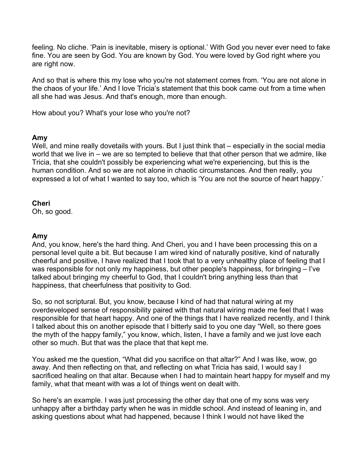feeling. No cliche. 'Pain is inevitable, misery is optional.' With God you never ever need to fake fine. You are seen by God. You are known by God. You were loved by God right where you are right now.

And so that is where this my lose who you're not statement comes from. 'You are not alone in the chaos of your life.' And I love Tricia's statement that this book came out from a time when all she had was Jesus. And that's enough, more than enough.

How about you? What's your lose who you're not?

## **Amy**

Well, and mine really dovetails with yours. But I just think that – especially in the social media world that we live in – we are so tempted to believe that that other person that we admire, like Tricia, that she couldn't possibly be experiencing what we're experiencing, but this is the human condition. And so we are not alone in chaotic circumstances. And then really, you expressed a lot of what I wanted to say too, which is 'You are not the source of heart happy.'

#### **Cheri**

Oh, so good.

## **Amy**

And, you know, here's the hard thing. And Cheri, you and I have been processing this on a personal level quite a bit. But because I am wired kind of naturally positive, kind of naturally cheerful and positive, I have realized that I took that to a very unhealthy place of feeling that I was responsible for not only my happiness, but other people's happiness, for bringing – I've talked about bringing my cheerful to God, that I couldn't bring anything less than that happiness, that cheerfulness that positivity to God.

So, so not scriptural. But, you know, because I kind of had that natural wiring at my overdeveloped sense of responsibility paired with that natural wiring made me feel that I was responsible for that heart happy. And one of the things that I have realized recently, and I think I talked about this on another episode that I bitterly said to you one day "Well, so there goes the myth of the happy family," you know, which, listen, I have a family and we just love each other so much. But that was the place that that kept me.

You asked me the question, "What did you sacrifice on that altar?" And I was like, wow, go away. And then reflecting on that, and reflecting on what Tricia has said, I would say I sacrificed healing on that altar. Because when I had to maintain heart happy for myself and my family, what that meant with was a lot of things went on dealt with.

So here's an example. I was just processing the other day that one of my sons was very unhappy after a birthday party when he was in middle school. And instead of leaning in, and asking questions about what had happened, because I think I would not have liked the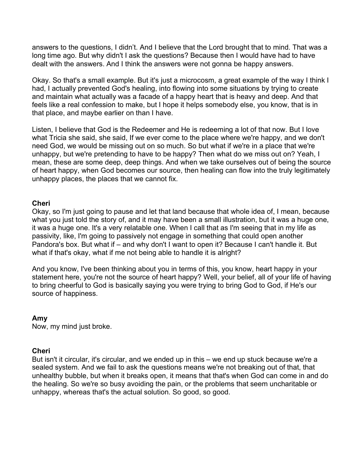answers to the questions, I didn't. And I believe that the Lord brought that to mind. That was a long time ago. But why didn't I ask the questions? Because then I would have had to have dealt with the answers. And I think the answers were not gonna be happy answers.

Okay. So that's a small example. But it's just a microcosm, a great example of the way I think I had, I actually prevented God's healing, into flowing into some situations by trying to create and maintain what actually was a facade of a happy heart that is heavy and deep. And that feels like a real confession to make, but I hope it helps somebody else, you know, that is in that place, and maybe earlier on than I have.

Listen, I believe that God is the Redeemer and He is redeeming a lot of that now. But I love what Tricia she said, she said, If we ever come to the place where we're happy, and we don't need God, we would be missing out on so much. So but what if we're in a place that we're unhappy, but we're pretending to have to be happy? Then what do we miss out on? Yeah, I mean, these are some deep, deep things. And when we take ourselves out of being the source of heart happy, when God becomes our source, then healing can flow into the truly legitimately unhappy places, the places that we cannot fix.

#### **Cheri**

Okay, so I'm just going to pause and let that land because that whole idea of, I mean, because what you just told the story of, and it may have been a small illustration, but it was a huge one, it was a huge one. It's a very relatable one. When I call that as I'm seeing that in my life as passivity, like, I'm going to passively not engage in something that could open another Pandora's box. But what if – and why don't I want to open it? Because I can't handle it. But what if that's okay, what if me not being able to handle it is alright?

And you know, I've been thinking about you in terms of this, you know, heart happy in your statement here, you're not the source of heart happy? Well, your belief, all of your life of having to bring cheerful to God is basically saying you were trying to bring God to God, if He's our source of happiness.

## **Amy**

Now, my mind just broke.

## **Cheri**

But isn't it circular, it's circular, and we ended up in this – we end up stuck because we're a sealed system. And we fail to ask the questions means we're not breaking out of that, that unhealthy bubble, but when it breaks open, it means that that's when God can come in and do the healing. So we're so busy avoiding the pain, or the problems that seem uncharitable or unhappy, whereas that's the actual solution. So good, so good.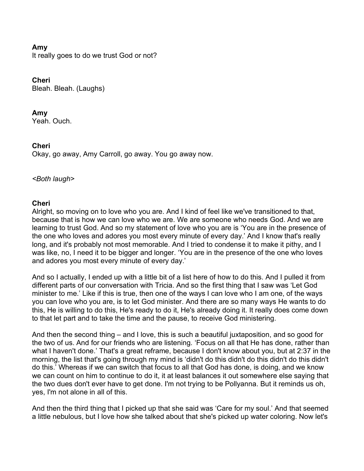## **Amy**

It really goes to do we trust God or not?

### **Cheri**

Bleah. Bleah. (Laughs)

#### **Amy**

Yeah. Ouch.

## **Cheri**

Okay, go away, Amy Carroll, go away. You go away now.

#### *<Both laugh>*

#### **Cheri**

Alright, so moving on to love who you are. And I kind of feel like we've transitioned to that, because that is how we can love who we are. We are someone who needs God. And we are learning to trust God. And so my statement of love who you are is 'You are in the presence of the one who loves and adores you most every minute of every day.' And I know that's really long, and it's probably not most memorable. And I tried to condense it to make it pithy, and I was like, no, I need it to be bigger and longer. 'You are in the presence of the one who loves and adores you most every minute of every day.'

And so I actually, I ended up with a little bit of a list here of how to do this. And I pulled it from different parts of our conversation with Tricia. And so the first thing that I saw was 'Let God minister to me.' Like if this is true, then one of the ways I can love who I am one, of the ways you can love who you are, is to let God minister. And there are so many ways He wants to do this, He is willing to do this, He's ready to do it, He's already doing it. It really does come down to that let part and to take the time and the pause, to receive God ministering.

And then the second thing – and I love, this is such a beautiful juxtaposition, and so good for the two of us. And for our friends who are listening. 'Focus on all that He has done, rather than what I haven't done.' That's a great reframe, because I don't know about you, but at 2:37 in the morning, the list that's going through my mind is 'didn't do this didn't do this didn't do this didn't do this.' Whereas if we can switch that focus to all that God has done, is doing, and we know we can count on him to continue to do it, it at least balances it out somewhere else saying that the two dues don't ever have to get done. I'm not trying to be Pollyanna. But it reminds us oh, yes, I'm not alone in all of this.

And then the third thing that I picked up that she said was 'Care for my soul.' And that seemed a little nebulous, but I love how she talked about that she's picked up water coloring. Now let's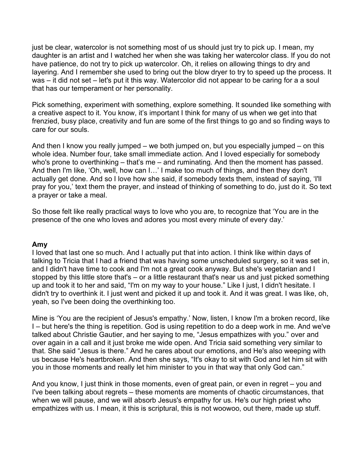just be clear, watercolor is not something most of us should just try to pick up. I mean, my daughter is an artist and I watched her when she was taking her watercolor class. If you do not have patience, do not try to pick up watercolor. Oh, it relies on allowing things to dry and layering. And I remember she used to bring out the blow dryer to try to speed up the process. It was – it did not set – let's put it this way. Watercolor did not appear to be caring for a a soul that has our temperament or her personality.

Pick something, experiment with something, explore something. It sounded like something with a creative aspect to it. You know, it's important I think for many of us when we get into that frenzied, busy place, creativity and fun are some of the first things to go and so finding ways to care for our souls.

And then I know you really jumped – we both jumped on, but you especially jumped – on this whole idea. Number four, take small immediate action. And I loved especially for somebody who's prone to overthinking – that's me – and ruminating. And then the moment has passed. And then I'm like, 'Oh, well, how can I…' I make too much of things, and then they don't actually get done. And so I love how she said, if somebody texts them, instead of saying, 'I'll pray for you,' text them the prayer, and instead of thinking of something to do, just do it. So text a prayer or take a meal.

So those felt like really practical ways to love who you are, to recognize that 'You are in the presence of the one who loves and adores you most every minute of every day.'

#### **Amy**

I loved that last one so much. And I actually put that into action. I think like within days of talking to Tricia that I had a friend that was having some unscheduled surgery, so it was set in, and I didn't have time to cook and I'm not a great cook anyway. But she's vegetarian and I stopped by this little store that's – or a little restaurant that's near us and just picked something up and took it to her and said, "I'm on my way to your house." Like I just, I didn't hesitate. I didn't try to overthink it. I just went and picked it up and took it. And it was great. I was like, oh, yeah, so I've been doing the overthinking too.

Mine is 'You are the recipient of Jesus's empathy.' Now, listen, I know I'm a broken record, like I – but here's the thing is repetition. God is using repetition to do a deep work in me. And we've talked about Christie Gautier, and her saying to me, "Jesus empathizes with you." over and over again in a call and it just broke me wide open. And Tricia said something very similar to that. She said "Jesus is there." And he cares about our emotions, and He's also weeping with us because He's heartbroken. And then she says, "It's okay to sit with God and let him sit with you in those moments and really let him minister to you in that way that only God can."

And you know, I just think in those moments, even of great pain, or even in regret – you and I've been talking about regrets – these moments are moments of chaotic circumstances, that when we will pause, and we will absorb Jesus's empathy for us. He's our high priest who empathizes with us. I mean, it this is scriptural, this is not woowoo, out there, made up stuff.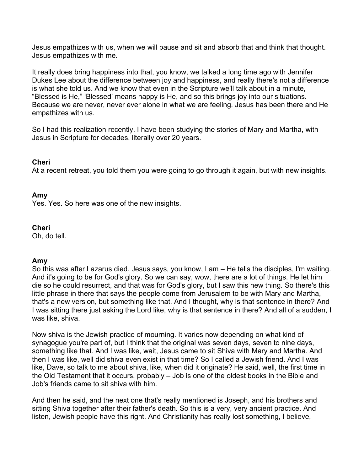Jesus empathizes with us, when we will pause and sit and absorb that and think that thought. Jesus empathizes with me.

It really does bring happiness into that, you know, we talked a long time ago with Jennifer Dukes Lee about the difference between joy and happiness, and really there's not a difference is what she told us. And we know that even in the Scripture we'll talk about in a minute, "Blessed is He," 'Blessed' means happy is He, and so this brings joy into our situations. Because we are never, never ever alone in what we are feeling. Jesus has been there and He empathizes with us.

So I had this realization recently. I have been studying the stories of Mary and Martha, with Jesus in Scripture for decades, literally over 20 years.

#### **Cheri**

At a recent retreat, you told them you were going to go through it again, but with new insights.

#### **Amy**

Yes. Yes. So here was one of the new insights.

#### **Cheri**

Oh, do tell.

#### **Amy**

So this was after Lazarus died. Jesus says, you know, I am – He tells the disciples, I'm waiting. And it's going to be for God's glory. So we can say, wow, there are a lot of things. He let him die so he could resurrect, and that was for God's glory, but I saw this new thing. So there's this little phrase in there that says the people come from Jerusalem to be with Mary and Martha, that's a new version, but something like that. And I thought, why is that sentence in there? And I was sitting there just asking the Lord like, why is that sentence in there? And all of a sudden, I was like, shiva.

Now shiva is the Jewish practice of mourning. It varies now depending on what kind of synagogue you're part of, but I think that the original was seven days, seven to nine days, something like that. And I was like, wait, Jesus came to sit Shiva with Mary and Martha. And then I was like, well did shiva even exist in that time? So I called a Jewish friend. And I was like, Dave, so talk to me about shiva, like, when did it originate? He said, well, the first time in the Old Testament that it occurs, probably – Job is one of the oldest books in the Bible and Job's friends came to sit shiva with him.

And then he said, and the next one that's really mentioned is Joseph, and his brothers and sitting Shiva together after their father's death. So this is a very, very ancient practice. And listen, Jewish people have this right. And Christianity has really lost something, I believe,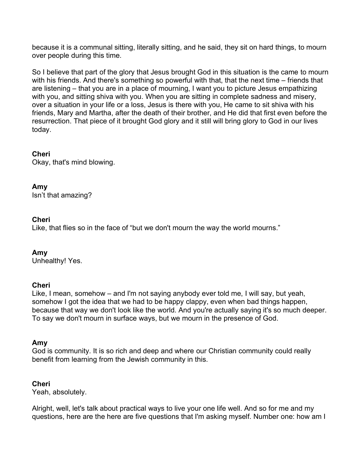because it is a communal sitting, literally sitting, and he said, they sit on hard things, to mourn over people during this time.

So I believe that part of the glory that Jesus brought God in this situation is the came to mourn with his friends. And there's something so powerful with that, that the next time – friends that are listening – that you are in a place of mourning, I want you to picture Jesus empathizing with you, and sitting shiva with you. When you are sitting in complete sadness and misery, over a situation in your life or a loss, Jesus is there with you, He came to sit shiva with his friends, Mary and Martha, after the death of their brother, and He did that first even before the resurrection. That piece of it brought God glory and it still will bring glory to God in our lives today.

## **Cheri**

Okay, that's mind blowing.

## **Amy**

Isn't that amazing?

## **Cheri**

Like, that flies so in the face of "but we don't mourn the way the world mourns."

## **Amy**

Unhealthy! Yes.

## **Cheri**

Like, I mean, somehow – and I'm not saying anybody ever told me, I will say, but yeah, somehow I got the idea that we had to be happy clappy, even when bad things happen, because that way we don't look like the world. And you're actually saying it's so much deeper. To say we don't mourn in surface ways, but we mourn in the presence of God.

## **Amy**

God is community. It is so rich and deep and where our Christian community could really benefit from learning from the Jewish community in this.

## **Cheri**

Yeah, absolutely.

Alright, well, let's talk about practical ways to live your one life well. And so for me and my questions, here are the here are five questions that I'm asking myself. Number one: how am I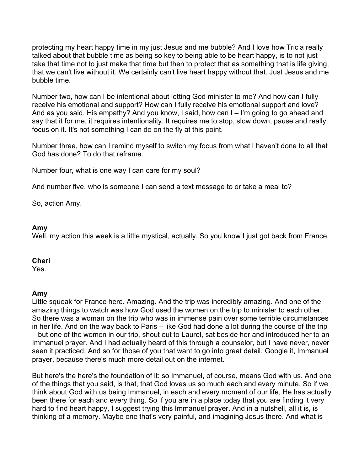protecting my heart happy time in my just Jesus and me bubble? And I love how Tricia really talked about that bubble time as being so key to being able to be heart happy, is to not just take that time not to just make that time but then to protect that as something that is life giving, that we can't live without it. We certainly can't live heart happy without that. Just Jesus and me bubble time.

Number two, how can I be intentional about letting God minister to me? And how can I fully receive his emotional and support? How can I fully receive his emotional support and love? And as you said, His empathy? And you know, I said, how can I – I'm going to go ahead and say that it for me, it requires intentionality. It requires me to stop, slow down, pause and really focus on it. It's not something I can do on the fly at this point.

Number three, how can I remind myself to switch my focus from what I haven't done to all that God has done? To do that reframe.

Number four, what is one way I can care for my soul?

And number five, who is someone I can send a text message to or take a meal to?

So, action Amy.

#### **Amy**

Well, my action this week is a little mystical, actually. So you know I just got back from France.

#### **Cheri**

Yes.

#### **Amy**

Little squeak for France here. Amazing. And the trip was incredibly amazing. And one of the amazing things to watch was how God used the women on the trip to minister to each other. So there was a woman on the trip who was in immense pain over some terrible circumstances in her life. And on the way back to Paris – like God had done a lot during the course of the trip – but one of the women in our trip, shout out to Laurel, sat beside her and introduced her to an Immanuel prayer. And I had actually heard of this through a counselor, but I have never, never seen it practiced. And so for those of you that want to go into great detail, Google it, Immanuel prayer, because there's much more detail out on the internet.

But here's the here's the foundation of it: so Immanuel, of course, means God with us. And one of the things that you said, is that, that God loves us so much each and every minute. So if we think about God with us being Immanuel, in each and every moment of our life, He has actually been there for each and every thing. So if you are in a place today that you are finding it very hard to find heart happy, I suggest trying this Immanuel prayer. And in a nutshell, all it is, is thinking of a memory. Maybe one that's very painful, and imagining Jesus there. And what is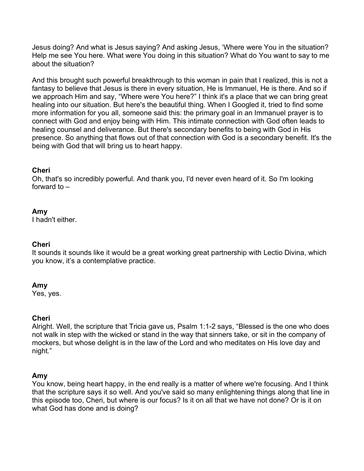Jesus doing? And what is Jesus saying? And asking Jesus, 'Where were You in the situation? Help me see You here. What were You doing in this situation? What do You want to say to me about the situation?

And this brought such powerful breakthrough to this woman in pain that I realized, this is not a fantasy to believe that Jesus is there in every situation, He is Immanuel, He is there. And so if we approach Him and say, "Where were You here?" I think it's a place that we can bring great healing into our situation. But here's the beautiful thing. When I Googled it, tried to find some more information for you all, someone said this: the primary goal in an Immanuel prayer is to connect with God and enjoy being with Him. This intimate connection with God often leads to healing counsel and deliverance. But there's secondary benefits to being with God in His presence. So anything that flows out of that connection with God is a secondary benefit. It's the being with God that will bring us to heart happy.

## **Cheri**

Oh, that's so incredibly powerful. And thank you, I'd never even heard of it. So I'm looking forward to –

## **Amy**

I hadn't either.

## **Cheri**

It sounds it sounds like it would be a great working great partnership with Lectio Divina, which you know, it's a contemplative practice.

## **Amy**

Yes, yes.

## **Cheri**

Alright. Well, the scripture that Tricia gave us, Psalm 1:1-2 says, "Blessed is the one who does not walk in step with the wicked or stand in the way that sinners take, or sit in the company of mockers, but whose delight is in the law of the Lord and who meditates on His love day and night."

## **Amy**

You know, being heart happy, in the end really is a matter of where we're focusing. And I think that the scripture says it so well. And you've said so many enlightening things along that line in this episode too, Cheri, but where is our focus? Is it on all that we have not done? Or is it on what God has done and is doing?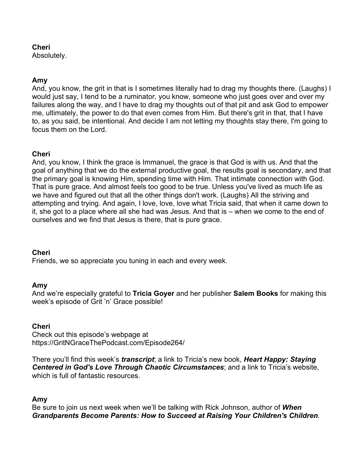## **Cheri**

Absolutely.

## **Amy**

And, you know, the grit in that is I sometimes literally had to drag my thoughts there. (Laughs) I would just say, I tend to be a ruminator, you know, someone who just goes over and over my failures along the way, and I have to drag my thoughts out of that pit and ask God to empower me, ultimately, the power to do that even comes from Him. But there's grit in that, that I have to, as you said, be intentional. And decide I am not letting my thoughts stay there, I'm going to focus them on the Lord.

## **Cheri**

And, you know, I think the grace is Immanuel, the grace is that God is with us. And that the goal of anything that we do the external productive goal, the results goal is secondary, and that the primary goal is knowing Him, spending time with Him. That intimate connection with God. That is pure grace. And almost feels too good to be true. Unless you've lived as much life as we have and figured out that all the other things don't work. (Laughs) All the striving and attempting and trying. And again, I love, love, love what Tricia said, that when it came down to it, she got to a place where all she had was Jesus. And that is – when we come to the end of ourselves and we find that Jesus is there, that is pure grace.

## **Cheri**

Friends, we so appreciate you tuning in each and every week.

## **Amy**

And we're especially grateful to **Tricia Goyer** and her publisher **Salem Books** for making this week's episode of Grit 'n' Grace possible!

## **Cheri**

Check out this episode's webpage at https://GritNGraceThePodcast.com/Episode264/

There you'll find this week's *transcript*; a link to Tricia's new book, *Heart Happy: Staying Centered in God's Love Through Chaotic Circumstances*; and a link to Tricia's website, which is full of fantastic resources.

## **Amy**

Be sure to join us next week when we'll be talking with Rick Johnson, author of *When Grandparents Become Parents: How to Succeed at Raising Your Children's Children.*